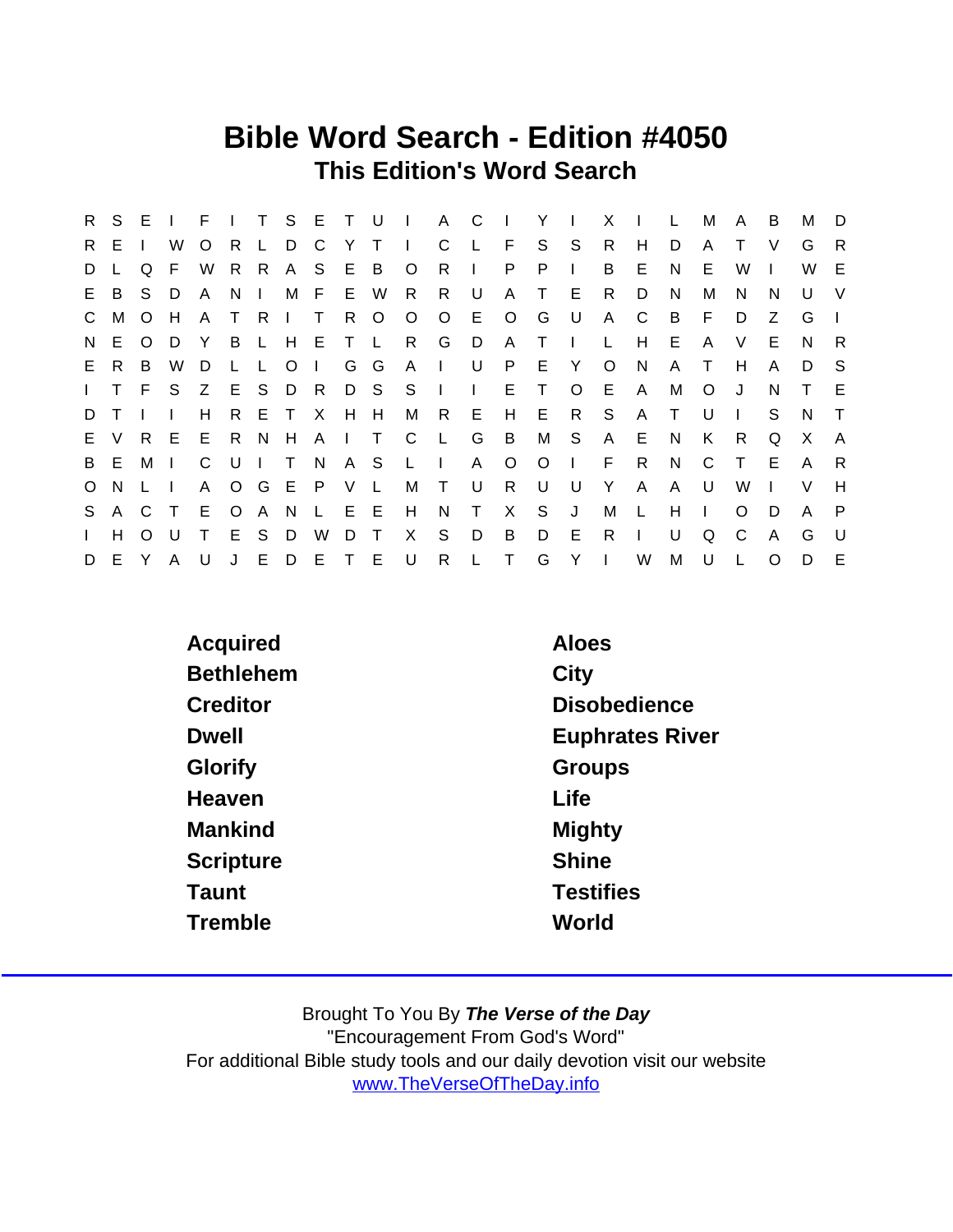## Bible Word Search - Edition #4050 This Edition's Word Search

| R.           | S E |              |    | F            |         |              |           | T S E T U    |              |              | $\sim 1$ .   | A C            |              | $\sim 1$     | Y       | $\mathbf{I}$ | X       |              | L      | м            | A            | B        | м            | D             |
|--------------|-----|--------------|----|--------------|---------|--------------|-----------|--------------|--------------|--------------|--------------|----------------|--------------|--------------|---------|--------------|---------|--------------|--------|--------------|--------------|----------|--------------|---------------|
| R.           | Е   |              | W  | $\circ$      | R       |              | D C       |              | Y            | $\top$       | $\mathbf{I}$ | C              | L            | F.           | S       | S            | R       | H            | D      | A            |              | V        | G            | $\mathsf{R}$  |
| D            |     | Q            | F  | W            | R       | $\mathsf{R}$ | A         | - S          | E            | B            | $\circ$      | R              | $\mathbf{I}$ | P            | P       | $\mathbf{L}$ | B       | E.           | N      | Е            | W            |          | W            | E             |
| E            | B   | S.           | D. | $\mathsf{A}$ | N.      | $\mathbf{I}$ |           | M F          | E W          |              | R.           | R.             | U            | A            | $\top$  | E            | R.      | D            | N      | м            | N            | N        | U            | V             |
| $\mathsf{C}$ | M   | $\Omega$     | H  | A            | $\top$  | R.           |           | T.           | R.           | $\circ$      | $\circ$      | $\circ$        | E.           | $\circ$      | G       | U            | A       | C            | B      | F            | D            | Z        | G            | $\mathcal{L}$ |
| N.           | E.  | $\Omega$     | D  | Y            | B       | $\mathsf{L}$ | H         | E.           | $\top$       | $\mathsf{L}$ | R.           | G              | D            | A            | T       | $\mathbf{L}$ | L       | H            | E.     | A            | V            | E        | <sub>N</sub> | R.            |
| E.           | R.  | B.           | W  | D            | L.      | L            | $\circ$   | $\mathbf{I}$ | G            | G            | A            | $\Box$         | U            | P            | E.      | Y            | $\circ$ | <b>N</b>     | A      | $\top$       | H            | A        | D            | -S            |
| $\mathbf{L}$ | T.  | F.           | S. |              |         |              | Z E S D R |              |              | D S          | S.           |                | $\mathbf{L}$ | E.           | Т       | $\circ$      | E.      | $\mathsf{A}$ | М      | O            | J            | N        | T.           | E             |
| D            |     |              |    | H.           | R.      |              | E T       | $\mathsf{X}$ | $H$ $H$      |              | M            | R.             | - E          | H            | - E     | R            | S       | $\mathsf{A}$ | $\top$ | U            | $\mathbf{1}$ | S        | N            | $\top$        |
|              | E V | R E          |    | E.           | R.      | N.           | H         | A            | $\mathbf{1}$ | $\top$       | C.           | - L            | G            | B            | М       | S.           | A       | E.           | N      | K.           | R.           | Q        | X            | A             |
| B            | E.  | М            |    | C            | - U     | $\mathbf{L}$ | $\top$    | N.           | A S          |              | $\mathsf{L}$ | $\blacksquare$ | A            | $\circ$      | $\circ$ | $\mathbf{I}$ | F       | R.           | N      | C            | $\top$       | Ε        | A            | R             |
| $\circ$      | N.  |              |    | A            |         | O G E        |           | $\mathsf{P}$ | V            | $\mathsf{L}$ | M            | $\top$         | U            | R            | U       | U            | Y       | $\mathsf{A}$ | A      | U            | W            |          | V            | H             |
|              | S A | C T          |    | E            | $\circ$ | A N          |           | $\mathsf{L}$ | E E          |              | H            | N              | $\top$       | X            | S.      | J            | M       | $\mathsf{L}$ | H      | $\mathbf{I}$ | O            | D        | A            | -P            |
| $\mathbf{L}$ | H   | O            |    | T.           | E       | S.           | D         | W            | D            | $\top$       | X            | S              | D            | B            | D       | E            | R.      | $\mathbf{I}$ | U      | Q            | C            | A        | G            | U.            |
| D            | E.  | <sup>Y</sup> | A  | U            | J       | E            | D E       |              | $\top$       | - E          | U            | $\mathsf{R}$   | L.           | $\mathsf{T}$ | G       | Y            | $\Box$  | W            | M      | U            |              | $\Omega$ | D            | E             |

| Acquired         | Aloes                  |
|------------------|------------------------|
| <b>Bethlehem</b> | City                   |
| Creditor         | <b>Disobedience</b>    |
| <b>Dwell</b>     | <b>Euphrates River</b> |
| Glorify          | Groups                 |
| Heaven           | Life                   |
| Mankind          | Mighty                 |
| Scripture        | <b>Shine</b>           |
| Taunt            | <b>Testifies</b>       |
| Tremble          | World                  |
|                  |                        |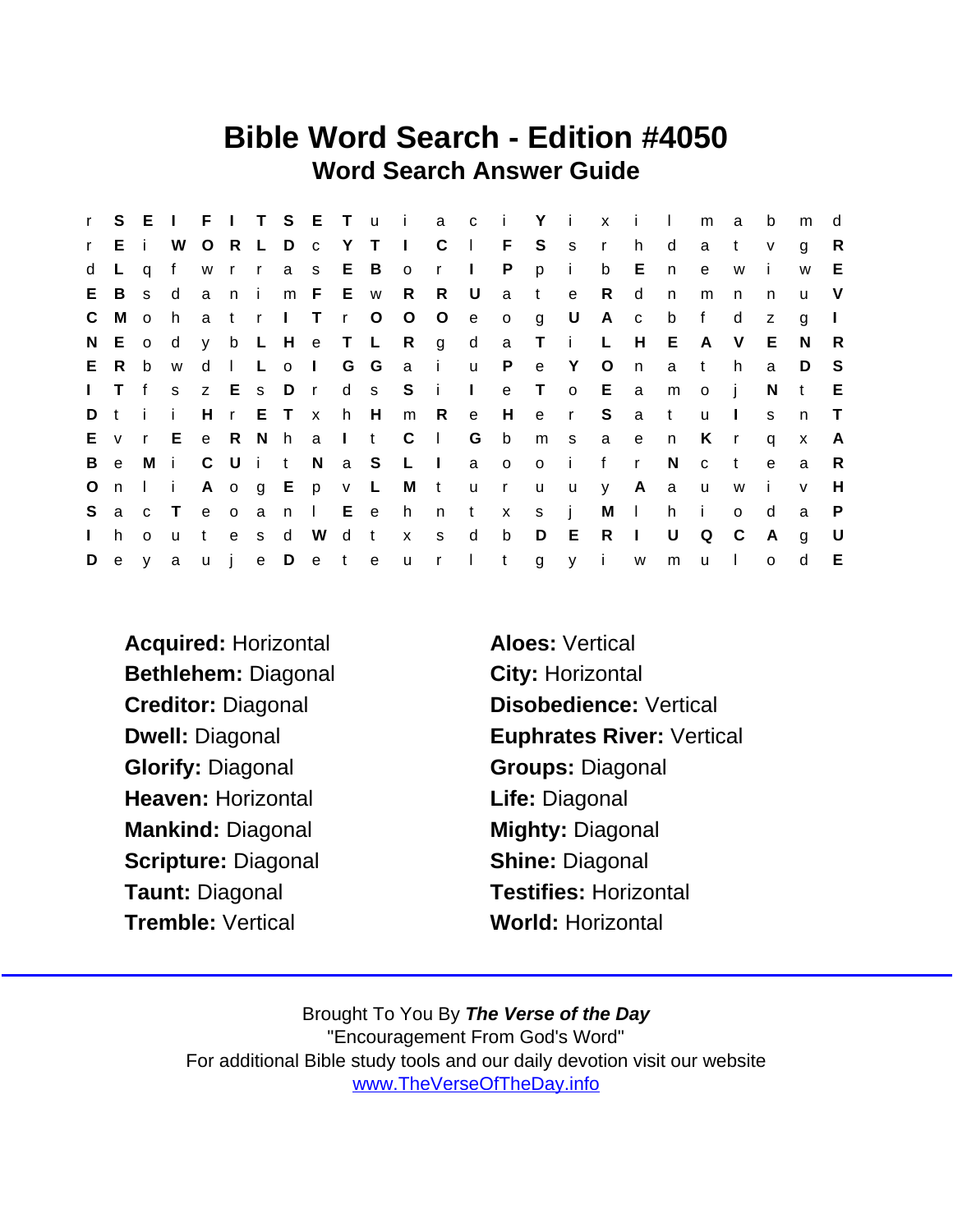## Bible Word Search - Edition #4050 Word Search Answer Guide

| $\mathbf{r}$ |              |                                                             |              |         |      |       |           |               |     |                         |                   |                |              |   | S E I F I T S E T u i a c i Y i x i l |              |          |              |       | m              | $\mathbf{a}$ | b              | m            | d            |
|--------------|--------------|-------------------------------------------------------------|--------------|---------|------|-------|-----------|---------------|-----|-------------------------|-------------------|----------------|--------------|---|---------------------------------------|--------------|----------|--------------|-------|----------------|--------------|----------------|--------------|--------------|
| r            | Ei           |                                                             | W            | $\circ$ |      |       |           |               |     |                         | R L D c Y T I C   |                | $\mathbb{R}$ | F |                                       | S s r        |          | h            | d     | a              | $\mathsf{t}$ | $\mathsf{v}$   | g            | R            |
| d            |              | a                                                           | f            |         |      |       |           | w r r a s E B |     |                         | $\circ$           | $r \perp$      |              | P | p                                     | $\mathbf{i}$ | b        | E            | n     | e              | W            |                | W            | E.           |
| E.           | B            | S.                                                          | $\mathsf{d}$ |         | a ni |       |           | m F E w       |     |                         | R                 | R              | $\cup$       | a | t                                     | $\mathbf{e}$ | R.       | d            | n     | m              | n.           | n              | u            | <sub>V</sub> |
| $\mathsf{C}$ | M            | $\circ$                                                     | h.           |         | a tr |       |           |               |     | I T r O O               |                   | $\overline{O}$ | e            |   | og U                                  |              | A c      |              | b     | $\mathsf{f}$   | d            | z              | g            |              |
|              | N E o        |                                                             | ∣ d          |         |      |       |           |               |     |                         | y b L H e T L R g |                |              |   | d a T i L                             |              |          |              | $H$ E | A              | V            | E.             | - N          | R.           |
| E.           | R.           | b                                                           | W            | d       |      |       |           | I L o I G G   |     |                         | a i u P           |                |              |   |                                       | e Y O        |          | n            | a t   |                | h            | a              | D            | -S           |
| $\mathbf{L}$ | T f          |                                                             | S            |         |      |       |           | z E s D r     |     |                         | d s S i I         |                |              |   | e T o E a                             |              |          |              | m     | $\overline{O}$ | - i          | N              | t            | E            |
| D t          |              | $-1$                                                        | - i -        |         |      |       | H r E T x |               | h H |                         | m                 | R              | $-e$         | H |                                       | e r S        |          | a t          |       | u              | $\Box$       | s              | $\mathsf{n}$ | $\top$       |
|              |              |                                                             |              |         |      |       |           |               |     | E v r E e R N h a I t C |                   | $\sim 1$ .     | G b          |   | m s                                   |              | a e n    |              |       | K.             | $\mathsf{r}$ | q              | $\mathsf{x}$ | A            |
| B            | $\mathbf{e}$ | Mi                                                          |              |         |      |       |           | C U i t N     |     | a S                     | $\blacksquare$    |                | a o          |   | o i f                                 |              |          | $\mathsf{r}$ | N     | $\mathbf{C}$   | $-t$         | $\mathbf{e}$   | a            | R.           |
| $\circ$      | n            | $\blacksquare$ $\blacksquare$ $\blacksquare$ $\blacksquare$ |              |         |      |       |           | A o g E p v L |     |                         |                   | Mtur           |              |   | <b>u</b>                              | u y          |          |              | A a u |                | W            | $\mathbf{i}$   | $\mathsf{V}$ | H            |
| S            |              | a c T                                                       |              |         |      |       |           |               |     |                         |                   |                |              |   | e o a n I E e h n t x s j             |              |          | $M \cup$     | h i   |                | $\circ$      | d              | a            | $\mathsf{P}$ |
| $\mathbf{L}$ | h            | $\Omega$                                                    | <b>u</b>     | t       |      | e s d |           | W             | d t |                         | $X$ S             |                | $\mathsf{d}$ | b |                                       | D E          | $R$      |              | U     | Q              | $\mathbf{C}$ | $\overline{A}$ | g            | U            |
|              | $D$ e $y$ a  |                                                             |              |         |      |       |           |               |     |                         | uje Deteur It     |                |              |   |                                       |              | gy iwmul |              |       |                |              | $\mathsf{o}$   | d            | E            |

- Acquired: Horizontal **Aloes:** Vertical Bethlehem: Diagonal City: Horizontal Glorify: Diagonal Groups: Diagonal Heaven: Horizontal **Life: Diagonal** Mankind: Diagonal Mighty: Diagonal Scripture: Diagonal Shine: Diagonal Taunt: Diagonal Testifies: Horizontal Tremble: Vertical World: Horizontal
- Creditor: Diagonal Disobedience: Vertical Dwell: Diagonal **Euphrates River: Vertical**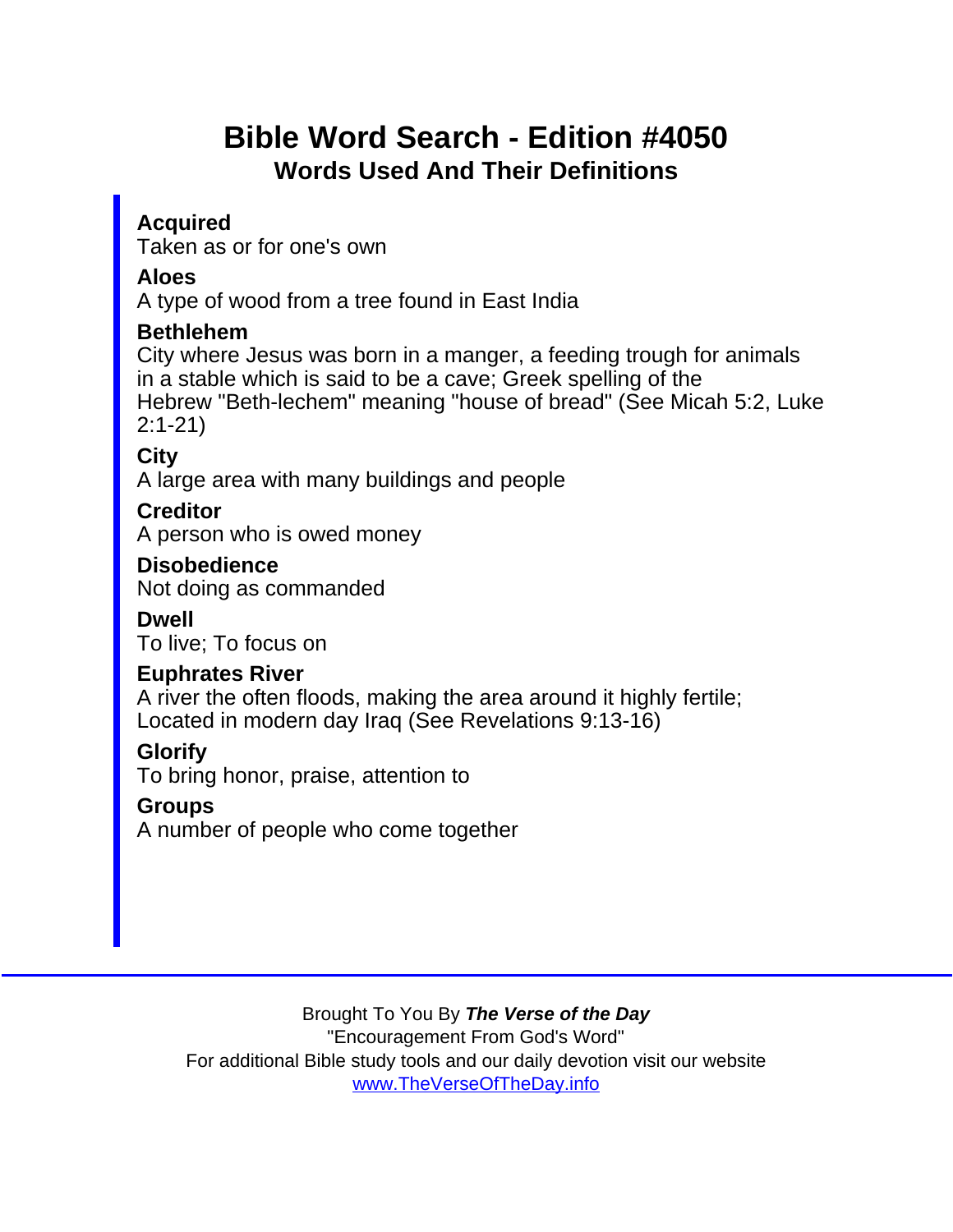# Bible Word Search - Edition #4050 Words Used And Their Definitions

Acquired Taken as or for one's own

Aloes

A type of wood from a tree found in East India

Bethlehem

City where Jesus was born in a manger, a feeding trough for animals in a stable which is said to be a cave; Greek spelling of the Hebrew "Beth-lechem" meaning "house of bread" (See Micah 5:2, Luke 2:1-21)

**City** 

A large area with many buildings and people

**Creditor** 

A person who is owed money

**Disobedience** Not doing as commanded

Dwell

To live; To focus on

Euphrates River

A river the often floods, making the area around it highly fertile; Located in modern day Iraq (See Revelations 9:13-16)

**Glorify** 

To bring honor, praise, attention to

**Groups** 

A number of people who come together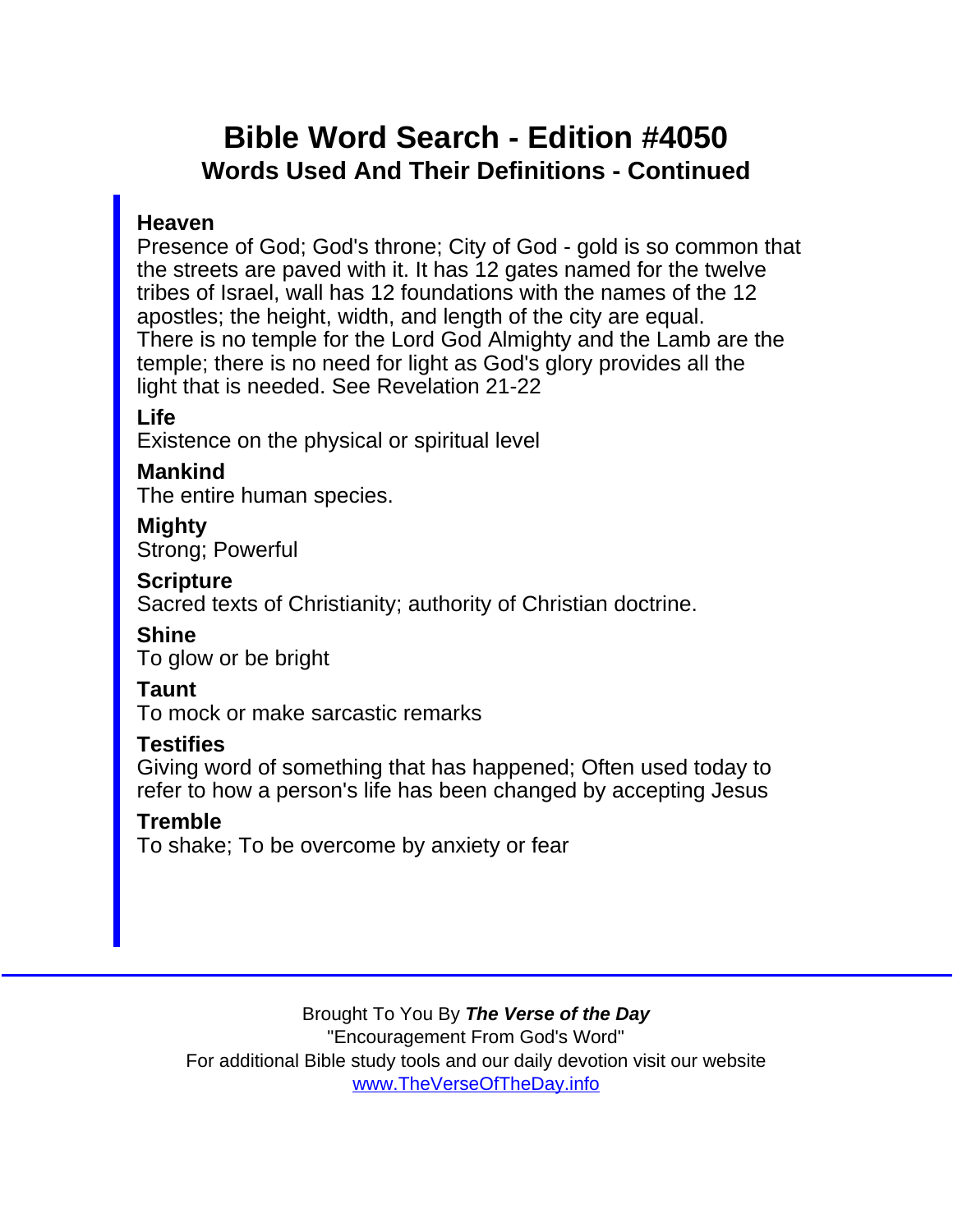## Bible Word Search - Edition #4050 Words Used And Their Definitions - Continued

#### Heaven

Presence of God; God's throne; City of God - gold is so common that the streets are paved with it. It has 12 gates named for the twelve tribes of Israel, wall has 12 foundations with the names of the 12 apostles; the height, width, and length of the city are equal. There is no temple for the Lord God Almighty and the Lamb are the temple; there is no need for light as God's glory provides all the light that is needed. See Revelation 21-22

Life

Existence on the physical or spiritual level

Mankind

The entire human species.

Mighty Strong; Powerful

**Scripture** 

Sacred texts of Christianity; authority of Christian doctrine.

Shine

To glow or be bright

Taunt

To mock or make sarcastic remarks

**Testifies** 

Giving word of something that has happened; Often used today to refer to how a person's life has been changed by accepting Jesus

#### **Tremble**

To shake; To be overcome by anxiety or fear